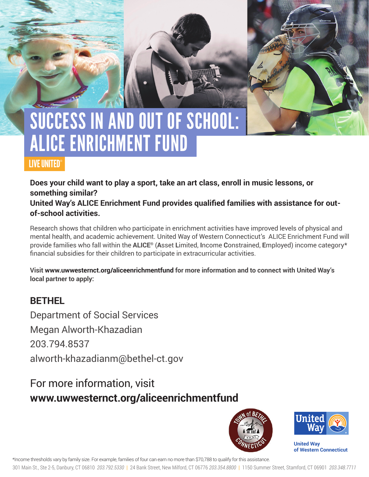# SUCCESS IN AND OUT OF SCHOOL: ALICE EnRICHMENT FUND

### LIVE UNITED®

**Does your child want to play a sport, take an art class, enroll in music lessons, or something similar?** 

**United Way's ALICE Enrichment Fund provides qualified families with assistance for outof-school activities.** 

Research shows that children who participate in enrichment activities have improved levels of physical and mental health, and academic achievement. United Way of Western Connecticut's ALICE Enrichment Fund will provide families who fall within the **ALICE®** (**A**sset **L**imited, **I**ncome **C**onstrained, **E**mployed) income category\* financial subsidies for their children to participate in extracurricular activities.

**Visit www.uwwesternct.org/aliceenrichmentfund for more information and to connect with United Way's local partner to apply:**

### **BETHEL**

Department of Social Services Megan Alworth-Khazadian 203.794.8537 alworth-khazadianm@bethel-ct.gov

## For more information, visit **www.uwwesternct.org/aliceenrichmentfund**





**United Way of Western Connecticut** 

\*Income thresholds vary by family size. For example, families of four can earn no more than \$70,788 to qualify for this assistance.

301 Main St., Ste 2-5, Danbury, CT 06810 *203.792.5330* | 24 Bank Street, New Milford, CT 06776 *203.354.8800* | 1150 Summer Street, Stamford, CT 06901 *203.348.7711*